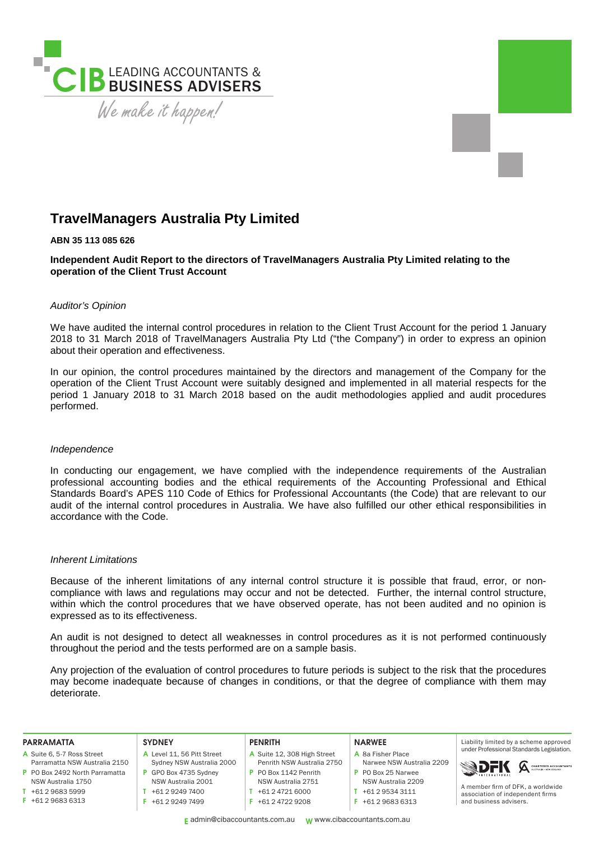

# **TravelManagers Australia Pty Limited**

### **ABN 35 113 085 626**

**Independent Audit Report to the directors of TravelManagers Australia Pty Limited relating to the operation of the Client Trust Account** 

# *Auditor's Opinion*

We have audited the internal control procedures in relation to the Client Trust Account for the period 1 January 2018 to 31 March 2018 of TravelManagers Australia Pty Ltd ("the Company") in order to express an opinion about their operation and effectiveness.

In our opinion, the control procedures maintained by the directors and management of the Company for the operation of the Client Trust Account were suitably designed and implemented in all material respects for the period 1 January 2018 to 31 March 2018 based on the audit methodologies applied and audit procedures performed.

#### *Independence*

In conducting our engagement, we have complied with the independence requirements of the Australian professional accounting bodies and the ethical requirements of the Accounting Professional and Ethical Standards Board's APES 110 Code of Ethics for Professional Accountants (the Code) that are relevant to our audit of the internal control procedures in Australia. We have also fulfilled our other ethical responsibilities in accordance with the Code.

#### *Inherent Limitations*

Because of the inherent limitations of any internal control structure it is possible that fraud, error, or noncompliance with laws and regulations may occur and not be detected. Further, the internal control structure, within which the control procedures that we have observed operate, has not been audited and no opinion is expressed as to its effectiveness.

An audit is not designed to detect all weaknesses in control procedures as it is not performed continuously throughout the period and the tests performed are on a sample basis.

Any projection of the evaluation of control procedures to future periods is subject to the risk that the procedures may become inadequate because of changes in conditions, or that the degree of compliance with them may deteriorate.

| <b>PARRAMATTA</b>              | <b>SYDNEY</b>              | <b>PENRITH</b>              | <b>NARWEE</b>             | Liability limited by a scheme approved    |
|--------------------------------|----------------------------|-----------------------------|---------------------------|-------------------------------------------|
| A Suite 6, 5-7 Ross Street     | A Level 11, 56 Pitt Street | A Suite 12, 308 High Street | A 8a Fisher Place         | under Professional Standards Legislation. |
| Parramatta NSW Australia 2150  | Sydney NSW Australia 2000  | Penrith NSW Australia 2750  | Narwee NSW Australia 2209 | <b>SDFK</b> A CHARTERED ACCOUNTANTS       |
| P PO Box 2492 North Parramatta | GPO Box 4735 Sydney        | P PO Box 1142 Penrith       | P PO Box 25 Narwee        | A member firm of DFK, a worldwide         |
| NSW Australia 1750             | NSW Australia 2001         | NSW Australia 2751          | NSW Australia 2209        |                                           |
| +61 2 9683 5999                | +61 2 9249 7400            | +61 2 4721 6000             | +61 2 9534 3111           | association of independent firms          |
| $F$ +61 2 9683 6313            | +61 2 9249 7499            | +61 2 4722 9208             | +61 2 9683 6313           | and business advisers.                    |